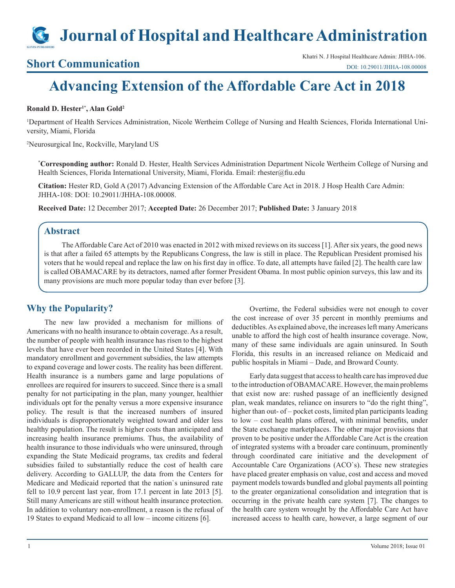# **Journal of Hospital and Healthcare Administration**

**Short Communication**<br>
Short Communication [DOI: 10.29011/JHHA-108.00008](http://doi.org/10.29011/JHHA-108. 00008)

# **Advancing Extension of the Affordable Care Act in 2018**

#### **Ronald D. Hester1\*, Alan Gold2**

<sup>1</sup>Department of Health Services Administration, Nicole Wertheim College of Nursing and Health Sciences, Florida International University, Miami, Florida

2 Neurosurgical Inc, Rockville, Maryland US

**\* Corresponding author:** Ronald D. Hester, Health Services Administration Department Nicole Wertheim College of Nursing and Health Sciences, Florida International University, Miami, Florida. Email: rhester@fiu.edu

**Citation:** Hester RD, Gold A (2017) Advancing Extension of the Affordable Care Act in 2018. J Hosp Health Care Admin: JHHA-108: DOI: 10.29011/JHHA-108.00008.

**Received Date:** 12 December 2017; **Accepted Date:** 26 December 2017; **Published Date:** 3 January 2018

### **Abstract**

The Affordable Care Act of 2010 was enacted in 2012 with mixed reviews on its success [1]. After six years, the good news is that after a failed 65 attempts by the Republicans Congress, the law is still in place. The Republican President promised his voters that he would repeal and replace the law on his first day in office. To date, all attempts have failed [2]. The health care law is called OBAMACARE by its detractors, named after former President Obama. In most public opinion surveys, this law and its many provisions are much more popular today than ever before [3].

## **Why the Popularity?**

The new law provided a mechanism for millions of Americans with no health insurance to obtain coverage. As a result, the number of people with health insurance has risen to the highest levels that have ever been recorded in the United States [4]. With mandatory enrollment and government subsidies, the law attempts to expand coverage and lower costs. The reality has been different. Health insurance is a numbers game and large populations of enrollees are required for insurers to succeed. Since there is a small penalty for not participating in the plan, many younger, healthier individuals opt for the penalty versus a more expensive insurance policy. The result is that the increased numbers of insured individuals is disproportionately weighted toward and older less healthy population. The result is higher costs than anticipated and increasing health insurance premiums. Thus, the availability of health insurance to those individuals who were uninsured, through expanding the State Medicaid programs, tax credits and federal subsidies failed to substantially reduce the cost of health care delivery. According to GALLUP, the data from the Centers for Medicare and Medicaid reported that the nation`s uninsured rate fell to 10.9 percent last year, from 17.1 percent in late 2013 [5]. Still many Americans are still without health insurance protection. In addition to voluntary non-enrollment, a reason is the refusal of 19 States to expand Medicaid to all low – income citizens [6].

Overtime, the Federal subsidies were not enough to cover the cost increase of over 35 percent in monthly premiums and deductibles. As explained above, the increases left many Americans unable to afford the high cost of health insurance coverage. Now, many of these same individuals are again uninsured. In South Florida, this results in an increased reliance on Medicaid and public hospitals in Miami – Dade, and Broward County.

Early data suggest that access to health care has improved due to the introduction of OBAMACARE. However, the main problems that exist now are: rushed passage of an inefficiently designed plan, weak mandates, reliance on insurers to "do the right thing", higher than out- of – pocket costs, limited plan participants leading to low – cost health plans offered, with minimal benefits, under the State exchange marketplaces. The other major provisions that proven to be positive under the Affordable Care Act is the creation of integrated systems with a broader care continuum, prominently through coordinated care initiative and the development of Accountable Care Organizations (ACO`s). These new strategies have placed greater emphasis on value, cost and access and moved payment models towards bundled and global payments all pointing to the greater organizational consolidation and integration that is occurring in the private health care system [7]. The changes to the health care system wrought by the Affordable Care Act have increased access to health care, however, a large segment of our